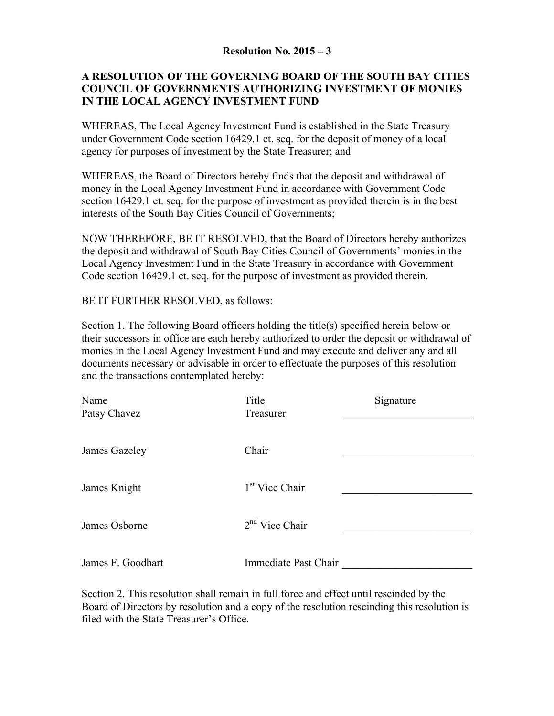## **Resolution No. 2015 – 3**

## **A RESOLUTION OF THE GOVERNING BOARD OF THE SOUTH BAY CITIES COUNCIL OF GOVERNMENTS AUTHORIZING INVESTMENT OF MONIES IN THE LOCAL AGENCY INVESTMENT FUND**

WHEREAS, The Local Agency Investment Fund is established in the State Treasury under Government Code section 16429.1 et. seq. for the deposit of money of a local agency for purposes of investment by the State Treasurer; and

WHEREAS, the Board of Directors hereby finds that the deposit and withdrawal of money in the Local Agency Investment Fund in accordance with Government Code section 16429.1 et. seq. for the purpose of investment as provided therein is in the best interests of the South Bay Cities Council of Governments;

NOW THEREFORE, BE IT RESOLVED, that the Board of Directors hereby authorizes the deposit and withdrawal of South Bay Cities Council of Governments' monies in the Local Agency Investment Fund in the State Treasury in accordance with Government Code section 16429.1 et. seq. for the purpose of investment as provided therein.

BE IT FURTHER RESOLVED, as follows:

Section 1. The following Board officers holding the title(s) specified herein below or their successors in office are each hereby authorized to order the deposit or withdrawal of monies in the Local Agency Investment Fund and may execute and deliver any and all documents necessary or advisable in order to effectuate the purposes of this resolution and the transactions contemplated hereby:

| Name<br>Patsy Chavez | Title<br>Treasurer         | Signature |
|----------------------|----------------------------|-----------|
| James Gazeley        | Chair                      |           |
| James Knight         | 1 <sup>st</sup> Vice Chair |           |
| James Osborne        | $2nd$ Vice Chair           |           |
| James F. Goodhart    | Immediate Past Chair       |           |

Section 2. This resolution shall remain in full force and effect until rescinded by the Board of Directors by resolution and a copy of the resolution rescinding this resolution is filed with the State Treasurer's Office.